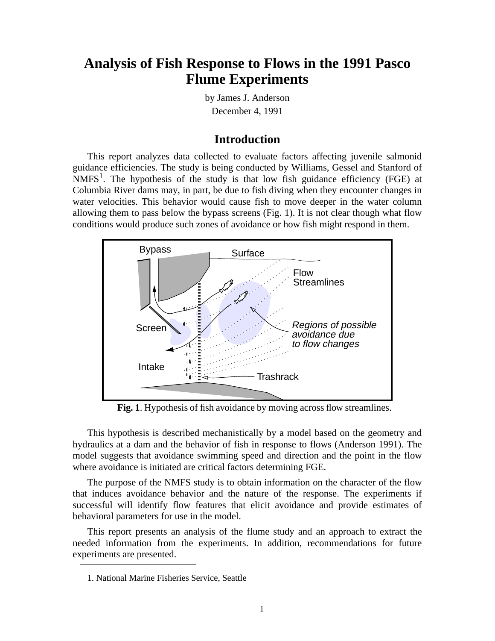# **Analysis of Fish Response to Flows in the 1991 Pasco Flume Experiments**

by James J. Anderson December 4, 1991

## **Introduction**

This report analyzes data collected to evaluate factors affecting juvenile salmonid guidance efficiencies. The study is being conducted by Williams, Gessel and Stanford of  $NMFS<sup>1</sup>$ . The hypothesis of the study is that low fish guidance efficiency (FGE) at Columbia River dams may, in part, be due to fish diving when they encounter changes in water velocities. This behavior would cause fish to move deeper in the water column allowing them to pass below the bypass screens (Fig. 1). It is not clear though what flow conditions would produce such zones of avoidance or how fish might respond in them.



**Fig. 1**. Hypothesis of fish avoidance by moving across flow streamlines.

This hypothesis is described mechanistically by a model based on the geometry and hydraulics at a dam and the behavior of fish in response to flows (Anderson 1991). The model suggests that avoidance swimming speed and direction and the point in the flow where avoidance is initiated are critical factors determining FGE.

The purpose of the NMFS study is to obtain information on the character of the flow that induces avoidance behavior and the nature of the response. The experiments if successful will identify flow features that elicit avoidance and provide estimates of behavioral parameters for use in the model.

This report presents an analysis of the flume study and an approach to extract the needed information from the experiments. In addition, recommendations for future experiments are presented.

<sup>1.</sup> National Marine Fisheries Service, Seattle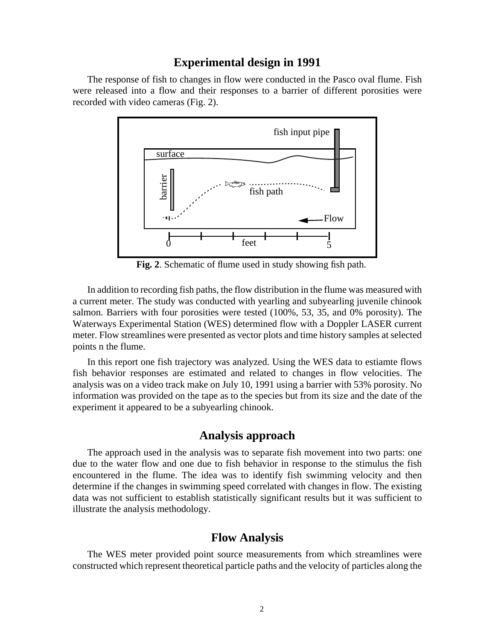#### **Experimental design in 1991**

The response of fish to changes in flow were conducted in the Pasco oval flume. Fish were released into a flow and their responses to a barrier of different porosities were recorded with video cameras (Fig. 2).



**Fig. 2**. Schematic of flume used in study showing fish path.

In addition to recording fish paths, the flow distribution in the flume was measured with a current meter. The study was conducted with yearling and subyearling juvenile chinook salmon. Barriers with four porosities were tested (100%, 53, 35, and 0% porosity). The Waterways Experimental Station (WES) determined flow with a Doppler LASER current meter. Flow streamlines were presented as vector plots and time history samples at selected points n the flume.

In this report one fish trajectory was analyzed. Using the WES data to estiamte flows fish behavior responses are estimated and related to changes in flow velocities. The analysis was on a video track make on July 10, 1991 using a barrier with 53% porosity. No information was provided on the tape as to the species but from its size and the date of the experiment it appeared to be a subyearling chinook.

# **Analysis approach**

The approach used in the analysis was to separate fish movement into two parts: one due to the water flow and one due to fish behavior in response to the stimulus the fish encountered in the flume. The idea was to identify fish swimming velocity and then determine if the changes in swimming speed correlated with changes in flow. The existing data was not sufficient to establish statistically significant results but it was sufficient to illustrate the analysis methodology.

# **Flow Analysis**

The WES meter provided point source measurements from which streamlines were constructed which represent theoretical particle paths and the velocity of particles along the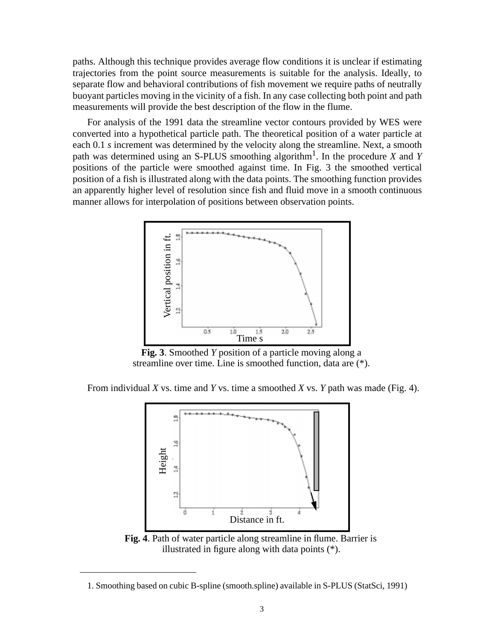paths. Although this technique provides average flow conditions it is unclear if estimating trajectories from the point source measurements is suitable for the analysis. Ideally, to separate flow and behavioral contributions of fish movement we require paths of neutrally buoyant particles moving in the vicinity of a fish. In any case collecting both point and path measurements will provide the best description of the flow in the flume.

For analysis of the 1991 data the streamline vector contours provided by WES were converted into a hypothetical particle path. The theoretical position of a water particle at each 0.1 *s* increment was determined by the velocity along the streamline. Next, a smooth path was determined using an S-PLUS smoothing algorithm<sup>1</sup>. In the procedure *X* and *Y* positions of the particle were smoothed against time. In Fig. 3 the smoothed vertical position of a fish is illustrated along with the data points. The smoothing function provides an apparently higher level of resolution since fish and fluid move in a smooth continuous manner allows for interpolation of positions between observation points.



**Fig. 3**. Smoothed *Y* position of a particle moving along a streamline over time. Line is smoothed function, data are (\*).

From individual *X* vs. time and *Y* vs. time a smoothed *X* vs. *Y* path was made (Fig. 4).



**Fig. 4**. Path of water particle along streamline in flume. Barrier is illustrated in figure along with data points (\*).

<sup>1.</sup> Smoothing based on cubic B-spline (smooth.spline) available in S-PLUS (StatSci, 1991)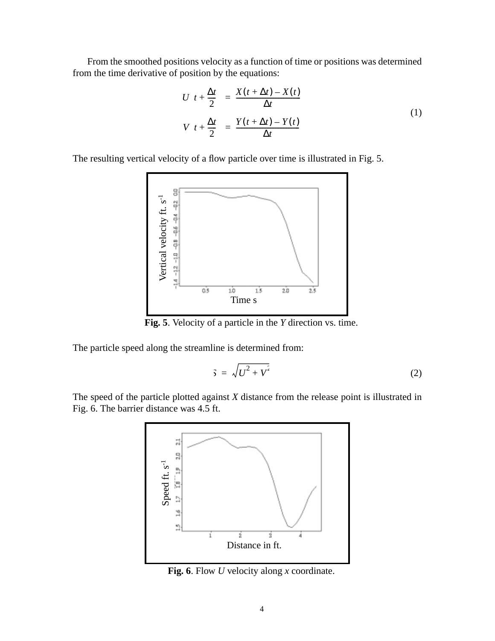From the smoothed positions velocity as a function of time or positions was determined from the time derivative of position by the equations:

$$
U\left(t + \frac{\Delta t}{2}\right) = \frac{X(t + \Delta t) - X(t)}{\Delta t}
$$
  

$$
V\left(t + \frac{\Delta t}{2}\right) = \frac{Y(t + \Delta t) - Y(t)}{\Delta t}
$$
 (1)

The resulting vertical velocity of a flow particle over time is illustrated in Fig. 5.



**Fig. 5**. Velocity of a particle in the *Y* direction vs. time.

The particle speed along the streamline is determined from:

$$
\tilde{\mathbf{y}} = \sqrt{U^2 + V^2} \tag{2}
$$

The speed of the particle plotted against *X* distance from the release point is illustrated in Fig. 6. The barrier distance was 4.5 ft.



**Fig. 6**. Flow *U* velocity along *x* coordinate.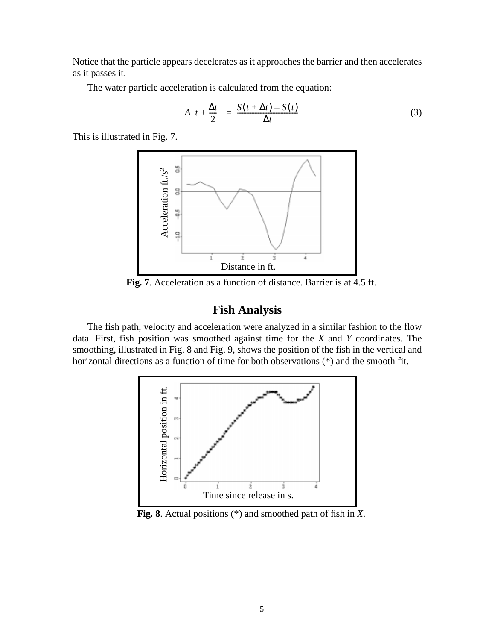Notice that the particle appears decelerates as it approaches the barrier and then accelerates as it passes it.

The water particle acceleration is calculated from the equation:

$$
A\left(t + \frac{\Delta t}{2}\right) = \frac{S(t + \Delta t) - S(t)}{\Delta t}
$$
\n(3)

This is illustrated in Fig. 7.



**Fig. 7**. Acceleration as a function of distance. Barrier is at 4.5 ft.

# **Fish Analysis**

The fish path, velocity and acceleration were analyzed in a similar fashion to the flow data. First, fish position was smoothed against time for the *X* and *Y* coordinates. The smoothing, illustrated in Fig. 8 and Fig. 9, shows the position of the fish in the vertical and horizontal directions as a function of time for both observations (\*) and the smooth fit.



**Fig. 8**. Actual positions (\*) and smoothed path of fish in *X*.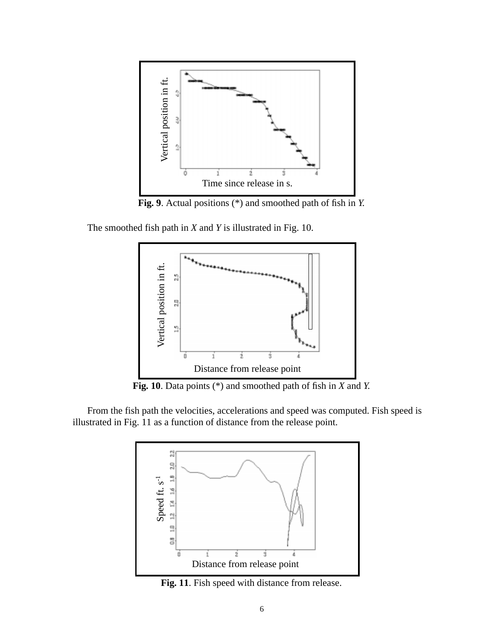

**Fig. 9**. Actual positions (\*) and smoothed path of fish in *Y*.

The smoothed fish path in *X* and *Y* is illustrated in Fig. 10.



**Fig. 10**. Data points (\*) and smoothed path of fish in *X* and *Y*.

From the fish path the velocities, accelerations and speed was computed. Fish speed is illustrated in Fig. 11 as a function of distance from the release point.



Fig. 11. Fish speed with distance from release.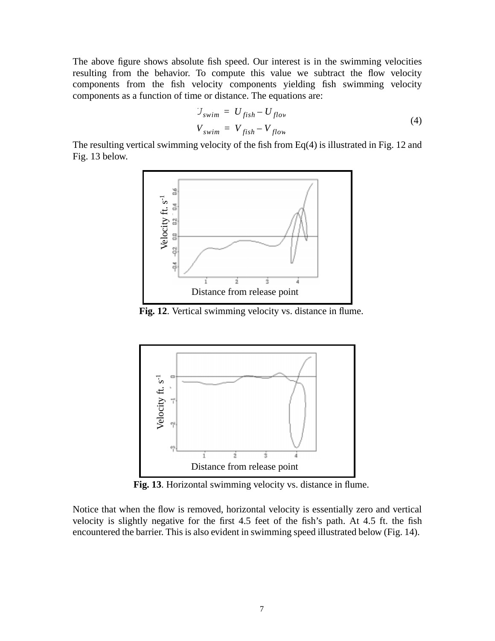The above figure shows absolute fish speed. Our interest is in the swimming velocities resulting from the behavior. To compute this value we subtract the flow velocity components from the fish velocity components yielding fish swimming velocity components as a function of time or distance. The equations are:

$$
U_{swim} = U_{fish} - U_{flow}
$$
  
\n
$$
V_{swim} = V_{fish} - V_{flow}
$$
\n(4)

The resulting vertical swimming velocity of the fish from Eq(4) is illustrated in Fig. 12 and Fig. 13 below.



**Fig. 12**. Vertical swimming velocity vs. distance in flume.



**Fig. 13**. Horizontal swimming velocity vs. distance in flume.

Notice that when the flow is removed, horizontal velocity is essentially zero and vertical velocity is slightly negative for the first 4.5 feet of the fish's path. At 4.5 ft. the fish encountered the barrier. This is also evident in swimming speed illustrated below (Fig. 14).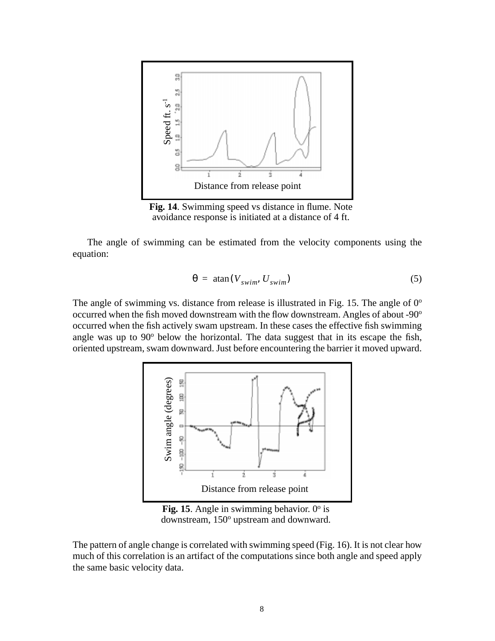

**Fig. 14**. Swimming speed vs distance in flume. Note avoidance response is initiated at a distance of 4 ft.

The angle of swimming can be estimated from the velocity components using the equation:

$$
\theta = \text{atan}(V_{swim}, U_{swim}) \tag{5}
$$

The angle of swimming vs. distance from release is illustrated in Fig. 15. The angle of  $0^{\circ}$ occurred when the fish moved downstream with the flow downstream. Angles of about -90<sup>o</sup> occurred when the fish actively swam upstream. In these cases the effective fish swimming angle was up to  $90^{\circ}$  below the horizontal. The data suggest that in its escape the fish, oriented upstream, swam downward. Just before encountering the barrier it moved upward.



**Fig. 15**. Angle in swimming behavior.  $0^{\circ}$  is downstream, 150° upstream and downward.

The pattern of angle change is correlated with swimming speed (Fig. 16). It is not clear how much of this correlation is an artifact of the computations since both angle and speed apply the same basic velocity data.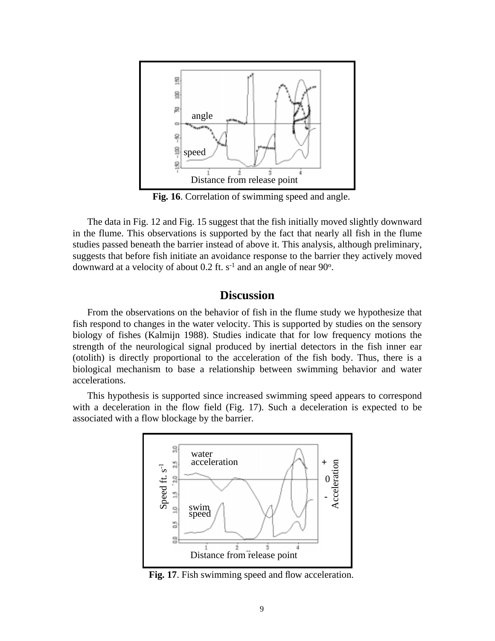

**Fig. 16**. Correlation of swimming speed and angle.

The data in Fig. 12 and Fig. 15 suggest that the fish initially moved slightly downward in the flume. This observations is supported by the fact that nearly all fish in the flume studies passed beneath the barrier instead of above it. This analysis, although preliminary, suggests that before fish initiate an avoidance response to the barrier they actively moved downward at a velocity of about 0.2 ft.  $s<sup>-1</sup>$  and an angle of near 90 $^{\circ}$ .

# **Discussion**

From the observations on the behavior of fish in the flume study we hypothesize that fish respond to changes in the water velocity. This is supported by studies on the sensory biology of fishes (Kalmijn 1988). Studies indicate that for low frequency motions the strength of the neurological signal produced by inertial detectors in the fish inner ear (otolith) is directly proportional to the acceleration of the fish body. Thus, there is a biological mechanism to base a relationship between swimming behavior and water accelerations.

This hypothesis is supported since increased swimming speed appears to correspond with a deceleration in the flow field (Fig. 17). Such a deceleration is expected to be associated with a flow blockage by the barrier.



Fig. 17. Fish swimming speed and flow acceleration.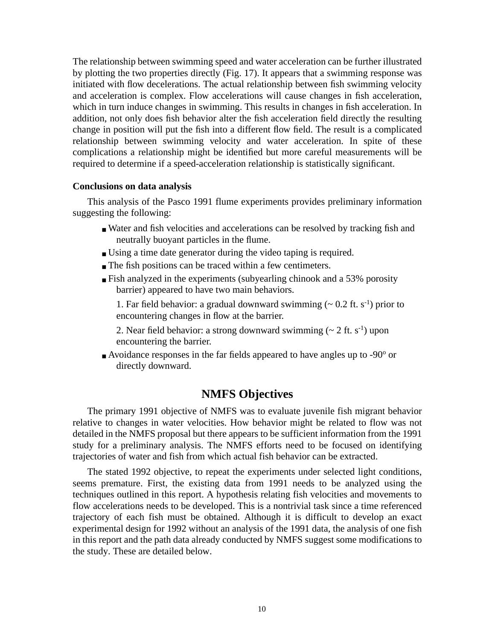The relationship between swimming speed and water acceleration can be further illustrated by plotting the two properties directly (Fig. 17). It appears that a swimming response was initiated with flow decelerations. The actual relationship between fish swimming velocity and acceleration is complex. Flow accelerations will cause changes in fish acceleration, which in turn induce changes in swimming. This results in changes in fish acceleration. In addition, not only does fish behavior alter the fish acceleration field directly the resulting change in position will put the fish into a different flow field. The result is a complicated relationship between swimming velocity and water acceleration. In spite of these complications a relationship might be identified but more careful measurements will be required to determine if a speed-acceleration relationship is statistically significant.

#### **Conclusions on data analysis**

This analysis of the Pasco 1991 flume experiments provides preliminary information suggesting the following:

- Water and fish velocities and accelerations can be resolved by tracking fish and neutrally buoyant particles in the flume.
- Using a time date generator during the video taping is required.
- The fish positions can be traced within a few centimeters.
- Fish analyzed in the experiments (subyearling chinook and a 53% porosity barrier) appeared to have two main behaviors.
	- 1. Far field behavior: a gradual downward swimming  $({\sim} 0.2 \text{ ft. s}^{-1})$  prior to encountering changes in flow at the barrier.
	- 2. Near field behavior: a strong downward swimming  $(\sim 2 \text{ ft. s}^{-1})$  upon encountering the barrier.
- $\blacksquare$  Avoidance responses in the far fields appeared to have angles up to -90 $\degree$  or directly downward.

# **NMFS Objectives**

The primary 1991 objective of NMFS was to evaluate juvenile fish migrant behavior relative to changes in water velocities. How behavior might be related to flow was not detailed in the NMFS proposal but there appears to be sufficient information from the 1991 study for a preliminary analysis. The NMFS efforts need to be focused on identifying trajectories of water and fish from which actual fish behavior can be extracted.

The stated 1992 objective, to repeat the experiments under selected light conditions, seems premature. First, the existing data from 1991 needs to be analyzed using the techniques outlined in this report. A hypothesis relating fish velocities and movements to flow accelerations needs to be developed. This is a nontrivial task since a time referenced trajectory of each fish must be obtained. Although it is difficult to develop an exact experimental design for 1992 without an analysis of the 1991 data, the analysis of one fish in this report and the path data already conducted by NMFS suggest some modifications to the study. These are detailed below.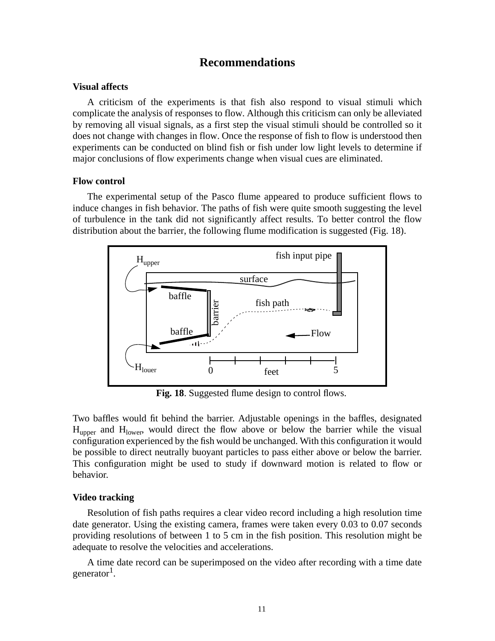### **Recommendations**

#### **Visual affects**

A criticism of the experiments is that fish also respond to visual stimuli which complicate the analysis of responses to flow. Although this criticism can only be alleviated by removing all visual signals, as a first step the visual stimuli should be controlled so it does not change with changes in flow. Once the response of fish to flow is understood then experiments can be conducted on blind fish or fish under low light levels to determine if major conclusions of flow experiments change when visual cues are eliminated.

#### **Flow control**

The experimental setup of the Pasco flume appeared to produce sufficient flows to induce changes in fish behavior. The paths of fish were quite smooth suggesting the level of turbulence in the tank did not significantly affect results. To better control the flow distribution about the barrier, the following flume modification is suggested (Fig. 18).



Fig. 18. Suggested flume design to control flows.

Two baffles would fit behind the barrier. Adjustable openings in the baffles, designated  $H_{\text{upper}}$  and  $H_{\text{lower}}$ , would direct the flow above or below the barrier while the visual configuration experienced by the fish would be unchanged. With this configuration it would be possible to direct neutrally buoyant particles to pass either above or below the barrier. This configuration might be used to study if downward motion is related to flow or behavior.

#### **Video tracking**

Resolution of fish paths requires a clear video record including a high resolution time date generator. Using the existing camera, frames were taken every 0.03 to 0.07 seconds providing resolutions of between 1 to 5 cm in the fish position. This resolution might be adequate to resolve the velocities and accelerations.

A time date record can be superimposed on the video after recording with a time date generator<sup>1</sup>.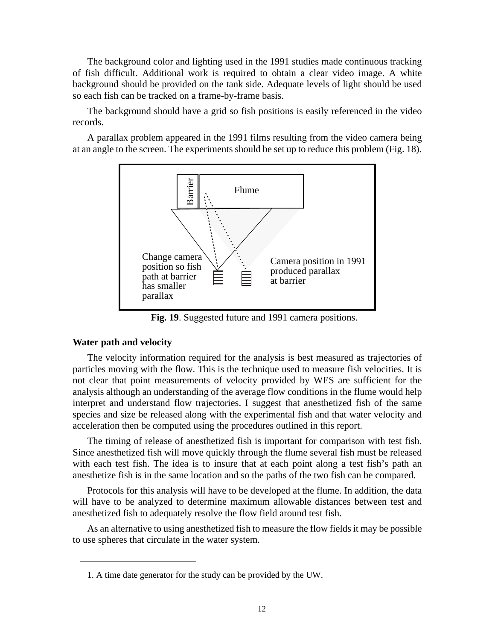The background color and lighting used in the 1991 studies made continuous tracking of fish difficult. Additional work is required to obtain a clear video image. A white background should be provided on the tank side. Adequate levels of light should be used so each fish can be tracked on a frame-by-frame basis.

The background should have a grid so fish positions is easily referenced in the video records.

A parallax problem appeared in the 1991 films resulting from the video camera being at an angle to the screen. The experiments should be set up to reduce this problem (Fig. 18).



**Fig. 19**. Suggested future and 1991 camera positions.

#### **Water path and velocity**

The velocity information required for the analysis is best measured as trajectories of particles moving with the flow. This is the technique used to measure fish velocities. It is not clear that point measurements of velocity provided by WES are sufficient for the analysis although an understanding of the average flow conditions in the flume would help interpret and understand flow trajectories. I suggest that anesthetized fish of the same species and size be released along with the experimental fish and that water velocity and acceleration then be computed using the procedures outlined in this report.

The timing of release of anesthetized fish is important for comparison with test fish. Since anesthetized fish will move quickly through the flume several fish must be released with each test fish. The idea is to insure that at each point along a test fish's path an anesthetize fish is in the same location and so the paths of the two fish can be compared.

Protocols for this analysis will have to be developed at the flume. In addition, the data will have to be analyzed to determine maximum allowable distances between test and anesthetized fish to adequately resolve the flow field around test fish.

As an alternative to using anesthetized fish to measure the flow fields it may be possible to use spheres that circulate in the water system.

<sup>1.</sup> A time date generator for the study can be provided by the UW.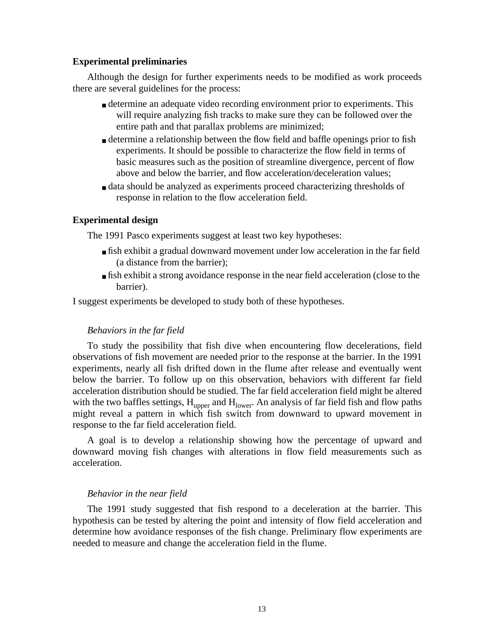#### **Experimental preliminaries**

Although the design for further experiments needs to be modified as work proceeds there are several guidelines for the process:

- determine an adequate video recording environment prior to experiments. This will require analyzing fish tracks to make sure they can be followed over the entire path and that parallax problems are minimized;
- determine a relationship between the flow field and baffle openings prior to fish experiments. It should be possible to characterize the flow field in terms of basic measures such as the position of streamline divergence, percent of flow above and below the barrier, and flow acceleration/deceleration values;
- data should be analyzed as experiments proceed characterizing thresholds of response in relation to the flow acceleration field.

#### **Experimental design**

The 1991 Pasco experiments suggest at least two key hypotheses:

- fish exhibit a gradual downward movement under low acceleration in the far field (a distance from the barrier);
- fish exhibit a strong avoidance response in the near field acceleration (close to the barrier).

I suggest experiments be developed to study both of these hypotheses.

#### *Behaviors in the far field*

To study the possibility that fish dive when encountering flow decelerations, field observations of fish movement are needed prior to the response at the barrier. In the 1991 experiments, nearly all fish drifted down in the flume after release and eventually went below the barrier. To follow up on this observation, behaviors with different far field acceleration distribution should be studied. The far field acceleration field might be altered with the two baffles settings,  $H_{\text{upper}}$  and  $H_{\text{lower}}$ . An analysis of far field fish and flow paths might reveal a pattern in which fish switch from downward to upward movement in response to the far field acceleration field.

A goal is to develop a relationship showing how the percentage of upward and downward moving fish changes with alterations in flow field measurements such as acceleration.

#### *Behavior in the near field*

The 1991 study suggested that fish respond to a deceleration at the barrier. This hypothesis can be tested by altering the point and intensity of flow field acceleration and determine how avoidance responses of the fish change. Preliminary flow experiments are needed to measure and change the acceleration field in the flume.